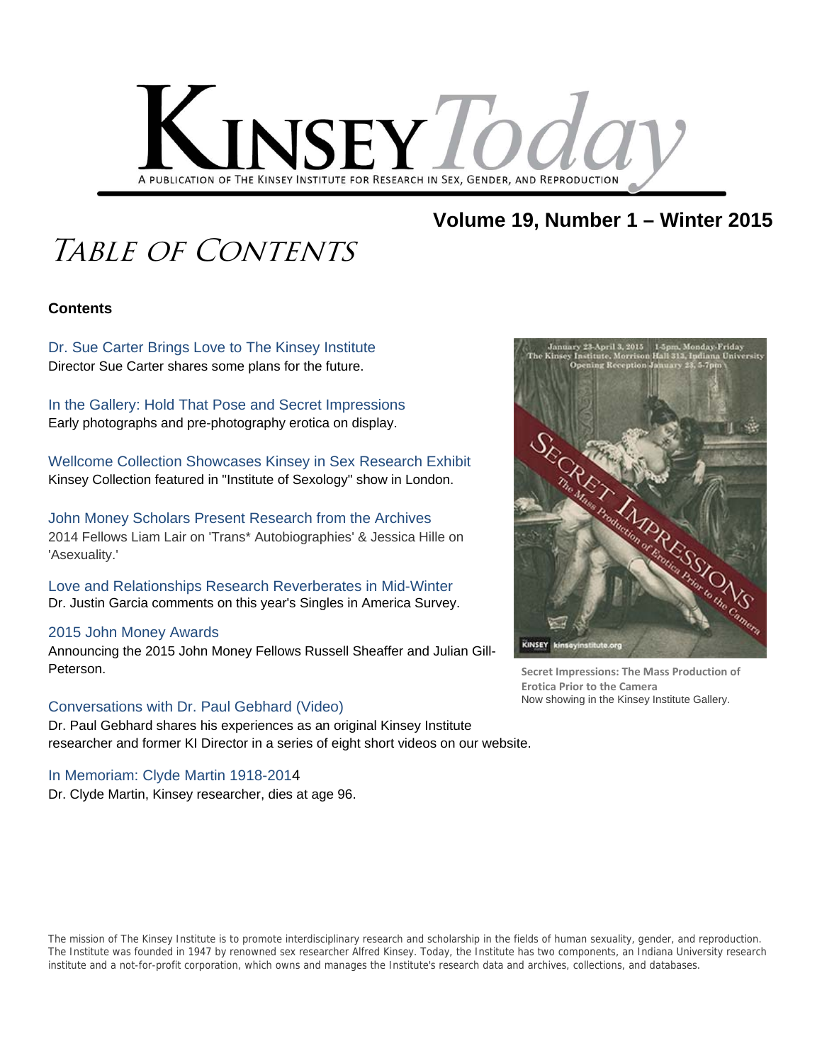

### **Volume 19, Number 1 – Winter 2015**

## TABLE OF CONTENTS

#### **Contents**

Dr. Sue Carter Brings Love to The Kinsey Institute Director Sue Carter shares some plans for the future.

In the Gallery: Hold That Pose and Secret Impressions Early photographs and pre-photography erotica on display.

Wellcome Collection Showcases Kinsey in Sex Research Exhibit Kinsey Collection featured in "Institute of Sexology" show in London.

John Money Scholars Present Research from the Archives 2014 Fellows Liam Lair on 'Trans\* Autobiographies' & Jessica Hille on 'Asexuality.'

Love and Relationships Research Reverberates in Mid-Winter Dr. Justin Garcia comments on this year's Singles in America Survey.

#### 2015 John Money Awards

Announcing the 2015 John Money Fellows Russell Sheaffer and Julian Gill-Peterson.

#### Conversations with Dr. Paul Gebhard (Video)

Dr. Paul Gebhard shares his experiences as an original Kinsey Institute researcher and former KI Director in a series of eight short videos on our website.

### In Memoriam: Clyde Martin 1918-2014

Dr. Clyde Martin, Kinsey researcher, dies at age 96.



**Secret Impressions: The Mass Production of Erotica Prior to the Camera** Now showing in the Kinsey Institute Gallery.

The mission of The Kinsey Institute is to promote interdisciplinary research and scholarship in the fields of human sexuality, gender, and reproduction. The Institute was founded in 1947 by renowned sex researcher Alfred Kinsey. Today, the Institute has two components, an Indiana University research institute and a not-for-profit corporation, which owns and manages the Institute's research data and archives, collections, and databases.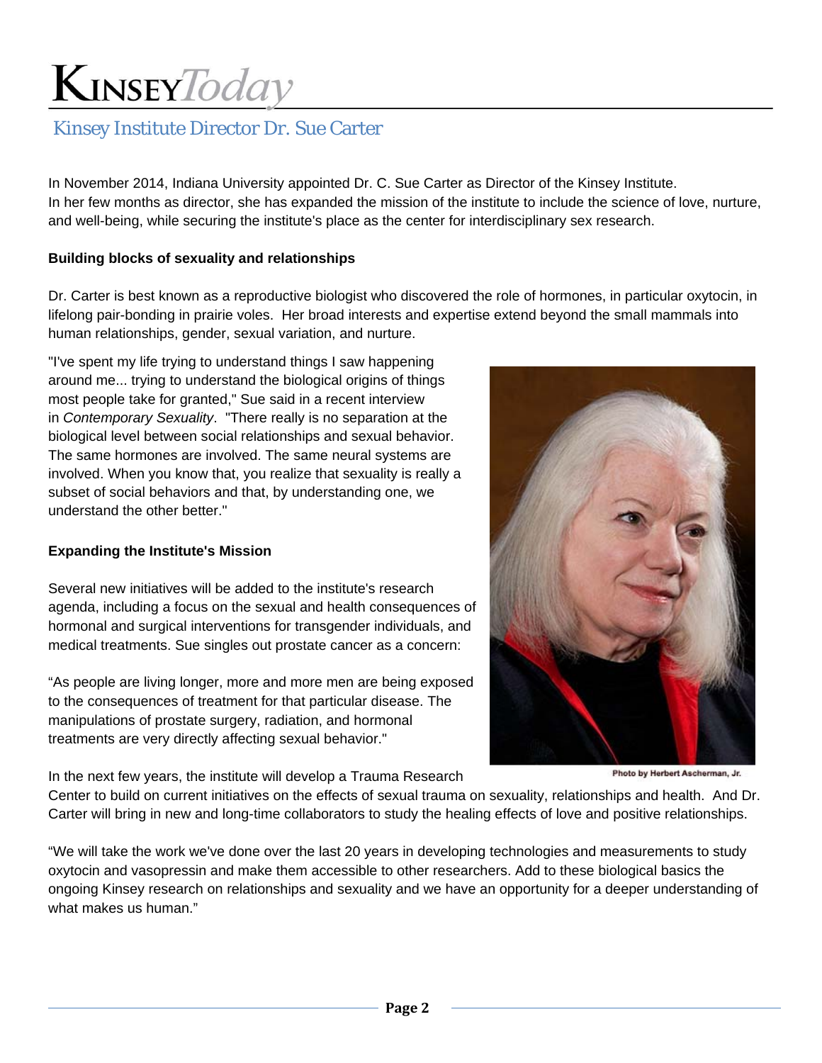### Kinsey Institute Director Dr. Sue Carter

In November 2014, Indiana University appointed Dr. C. Sue Carter as Director of the Kinsey Institute. In her few months as director, she has expanded the mission of the institute to include the science of love, nurture, and well-being, while securing the institute's place as the center for interdisciplinary sex research.

#### **Building blocks of sexuality and relationships**

Dr. Carter is best known as a reproductive biologist who discovered the role of hormones, in particular oxytocin, in lifelong pair-bonding in prairie voles. Her broad interests and expertise extend beyond the small mammals into human relationships, gender, sexual variation, and nurture.

"I've spent my life trying to understand things I saw happening around me... trying to understand the biological origins of things most people take for granted," Sue said in a recent interview in *Contemporary Sexuality*. "There really is no separation at the biological level between social relationships and sexual behavior. The same hormones are involved. The same neural systems are involved. When you know that, you realize that sexuality is really a subset of social behaviors and that, by understanding one, we understand the other better."

#### **Expanding the Institute's Mission**

Several new initiatives will be added to the institute's research agenda, including a focus on the sexual and health consequences of hormonal and surgical interventions for transgender individuals, and medical treatments. Sue singles out prostate cancer as a concern:

"As people are living longer, more and more men are being exposed to the consequences of treatment for that particular disease. The manipulations of prostate surgery, radiation, and hormonal treatments are very directly affecting sexual behavior."

In the next few years, the institute will develop a Trauma Research



Photo by Herbert Ascherman, Jr.

Center to build on current initiatives on the effects of sexual trauma on sexuality, relationships and health. And Dr. Carter will bring in new and long-time collaborators to study the healing effects of love and positive relationships.

"We will take the work we've done over the last 20 years in developing technologies and measurements to study oxytocin and vasopressin and make them accessible to other researchers. Add to these biological basics the ongoing Kinsey research on relationships and sexuality and we have an opportunity for a deeper understanding of what makes us human."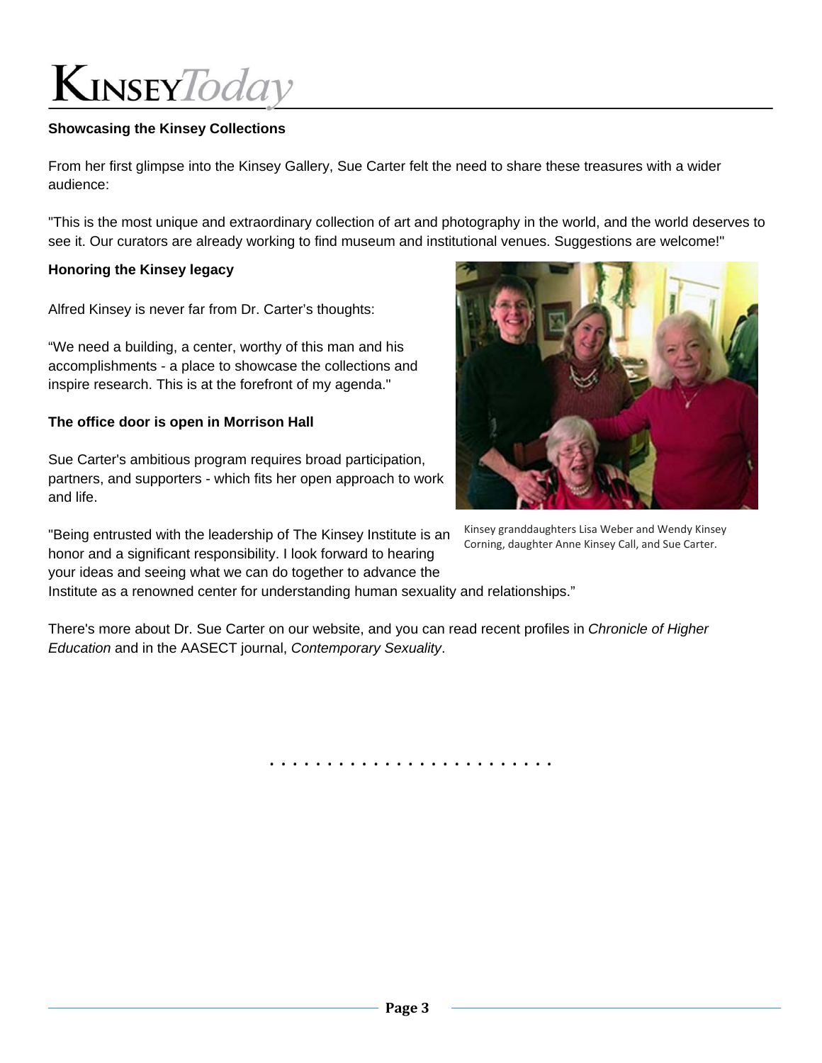#### **Showcasing the Kinsey Collections**

From her first glimpse into the Kinsey Gallery, Sue Carter felt the need to share these treasures with a wider audience:

"This is the most unique and extraordinary collection of art and photography in the world, and the world deserves to see it. Our curators are already working to find museum and institutional venues. Suggestions are welcome!"

#### **Honoring the Kinsey legacy**

Alfred Kinsey is never far from Dr. Carter's thoughts:

"We need a building, a center, worthy of this man and his accomplishments - a place to showcase the collections and inspire research. This is at the forefront of my agenda."

#### **The office door is open in Morrison Hall**

Sue Carter's ambitious program requires broad participation, partners, and supporters - which fits her open approach to work and life.

"Being entrusted with the leadership of The Kinsey Institute is an honor and a significant responsibility. I look forward to hearing your ideas and seeing what we can do together to advance the



Kinsey granddaughters Lisa Weber and Wendy Kinsey Corning, daughter Anne Kinsey Call, and Sue Carter.

Institute as a renowned center for understanding human sexuality and relationships."

There's more about Dr. Sue Carter on our website, and you can read recent profiles in *Chronicle of Higher Education* and in the AASECT journal, *Contemporary Sexuality*.

. . . . . . . . . . . . . . . . . . . . . . . . .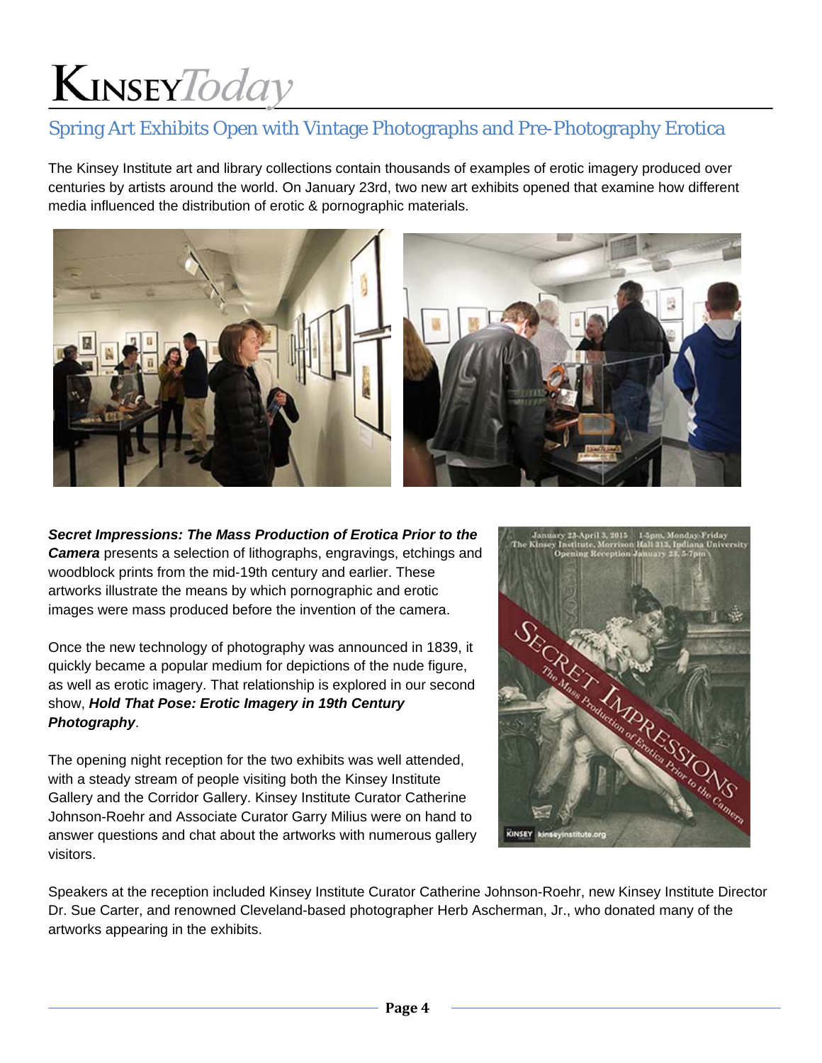### Spring Art Exhibits Open with Vintage Photographs and Pre-Photography Erotica

The Kinsey Institute art and library collections contain thousands of examples of erotic imagery produced over centuries by artists around the world. On January 23rd, two new art exhibits opened that examine how different media influenced the distribution of erotic & pornographic materials.





*Secret Impressions: The Mass Production of Erotica Prior to the Camera* presents a selection of lithographs, engravings, etchings and woodblock prints from the mid-19th century and earlier. These artworks illustrate the means by which pornographic and erotic images were mass produced before the invention of the camera.

Once the new technology of photography was announced in 1839, it quickly became a popular medium for depictions of the nude figure, as well as erotic imagery. That relationship is explored in our second show, *Hold That Pose: Erotic Imagery in 19th Century Photography*.

The opening night reception for the two exhibits was well attended, with a steady stream of people visiting both the Kinsey Institute Gallery and the Corridor Gallery. Kinsey Institute Curator Catherine Johnson-Roehr and Associate Curator Garry Milius were on hand to answer questions and chat about the artworks with numerous gallery visitors.



Speakers at the reception included Kinsey Institute Curator Catherine Johnson-Roehr, new Kinsey Institute Director Dr. Sue Carter, and renowned Cleveland-based photographer Herb Ascherman, Jr., who donated many of the artworks appearing in the exhibits.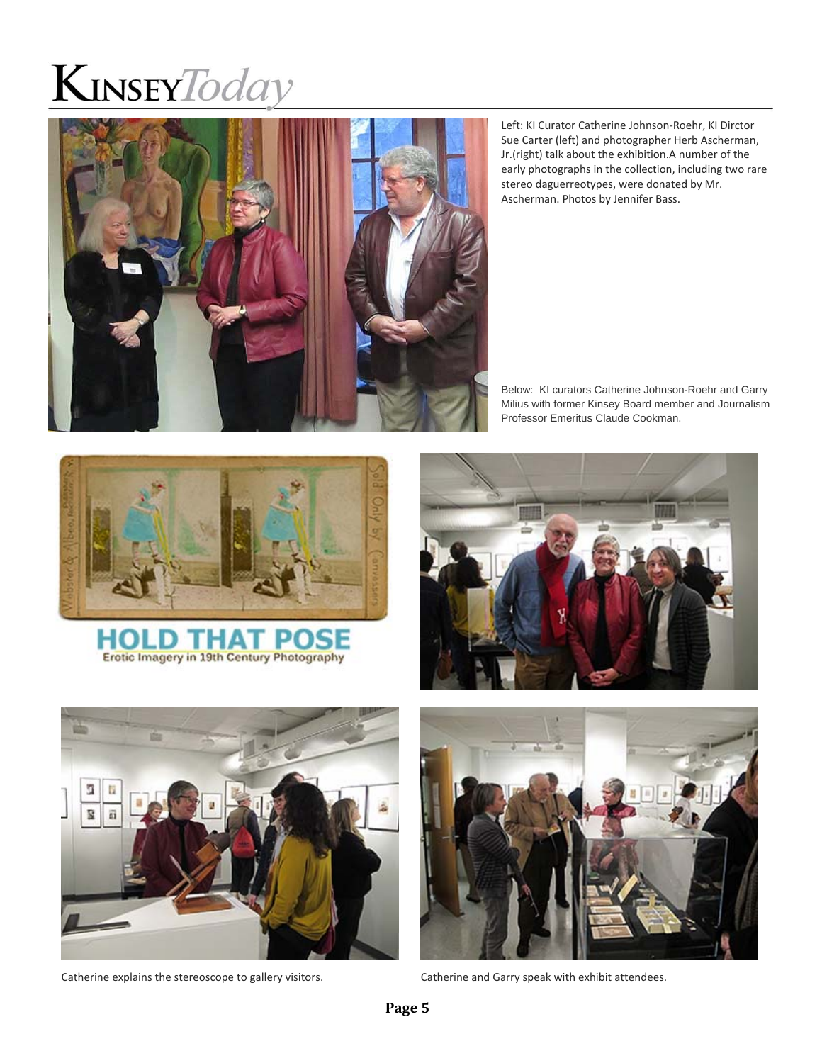

Left: KI Curator Catherine Johnson‐Roehr, KI Dirctor Sue Carter (left) and photographer Herb Ascherman, Jr.(right) talk about the exhibition.A number of the early photographs in the collection, including two rare stereo daguerreotypes, were donated by Mr. Ascherman. Photos by Jennifer Bass.

Below: KI curators Catherine Johnson-Roehr and Garry Milius with former Kinsey Board member and Journalism Professor Emeritus Claude Cookman.









Catherine explains the stereoscope to gallery visitors. Catherine and Garry speak with exhibit attendees.

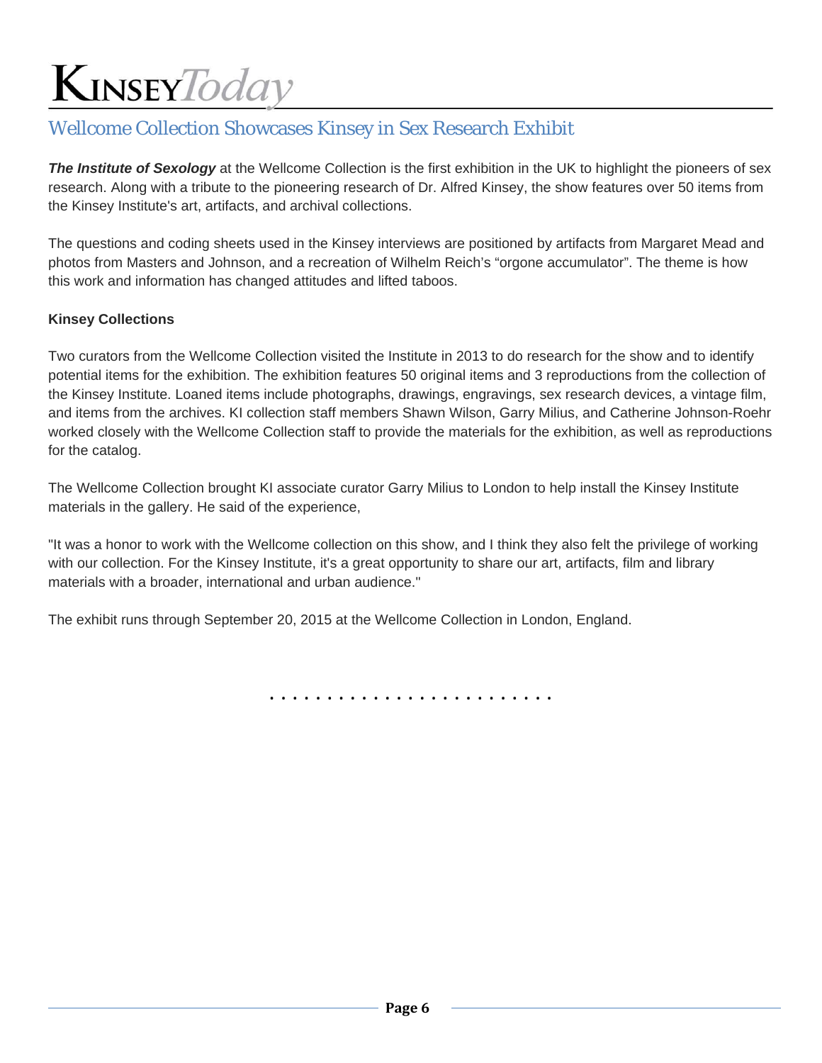### Wellcome Collection Showcases Kinsey in Sex Research Exhibit

**The Institute of Sexology** at the Wellcome Collection is the first exhibition in the UK to highlight the pioneers of sex research. Along with a tribute to the pioneering research of Dr. Alfred Kinsey, the show features over 50 items from the Kinsey Institute's art, artifacts, and archival collections.

The questions and coding sheets used in the Kinsey interviews are positioned by artifacts from Margaret Mead and photos from Masters and Johnson, and a recreation of Wilhelm Reich's "orgone accumulator". The theme is how this work and information has changed attitudes and lifted taboos.

#### **Kinsey Collections**

Two curators from the Wellcome Collection visited the Institute in 2013 to do research for the show and to identify potential items for the exhibition. The exhibition features 50 original items and 3 reproductions from the collection of the Kinsey Institute. Loaned items include photographs, drawings, engravings, sex research devices, a vintage film, and items from the archives. KI collection staff members Shawn Wilson, Garry Milius, and Catherine Johnson-Roehr worked closely with the Wellcome Collection staff to provide the materials for the exhibition, as well as reproductions for the catalog.

The Wellcome Collection brought KI associate curator Garry Milius to London to help install the Kinsey Institute materials in the gallery. He said of the experience,

"It was a honor to work with the Wellcome collection on this show, and I think they also felt the privilege of working with our collection. For the Kinsey Institute, it's a great opportunity to share our art, artifacts, film and library materials with a broader, international and urban audience."

The exhibit runs through September 20, 2015 at the Wellcome Collection in London, England.

. . . . . . . . . . . . . . . . . . . . . . . . .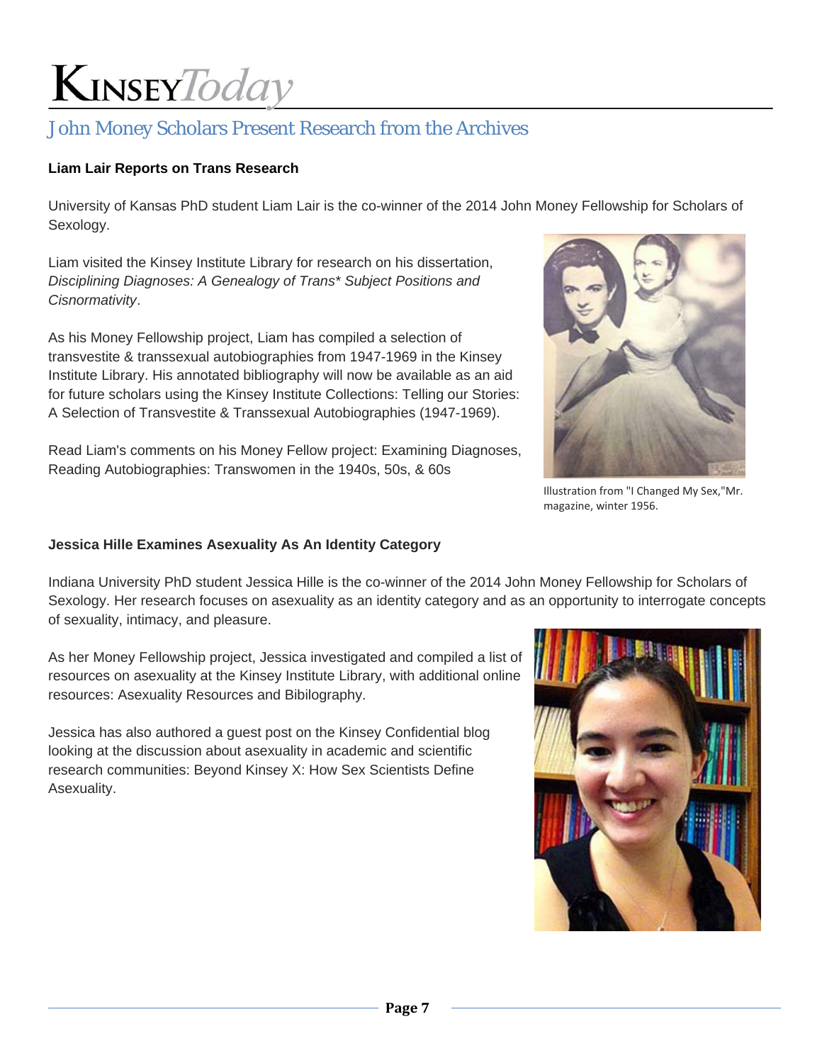### John Money Scholars Present Research from the Archives

#### **Liam Lair Reports on Trans Research**

University of Kansas PhD student Liam Lair is the co-winner of the 2014 John Money Fellowship for Scholars of Sexology.

Liam visited the Kinsey Institute Library for research on his dissertation, *Disciplining Diagnoses: A Genealogy of Trans\* Subject Positions and Cisnormativity*.

As his Money Fellowship project, Liam has compiled a selection of transvestite & transsexual autobiographies from 1947-1969 in the Kinsey Institute Library. His annotated bibliography will now be available as an aid for future scholars using the Kinsey Institute Collections: Telling our Stories: A Selection of Transvestite & Transsexual Autobiographies (1947-1969).

Read Liam's comments on his Money Fellow project: Examining Diagnoses, Reading Autobiographies: Transwomen in the 1940s, 50s, & 60s



Illustration from "I Changed My Sex,"Mr. magazine, winter 1956.

#### **Jessica Hille Examines Asexuality As An Identity Category**

Indiana University PhD student Jessica Hille is the co-winner of the 2014 John Money Fellowship for Scholars of Sexology. Her research focuses on asexuality as an identity category and as an opportunity to interrogate concepts of sexuality, intimacy, and pleasure.

As her Money Fellowship project, Jessica investigated and compiled a list of resources on asexuality at the Kinsey Institute Library, with additional online resources: Asexuality Resources and Bibilography.

Jessica has also authored a guest post on the Kinsey Confidential blog looking at the discussion about asexuality in academic and scientific research communities: Beyond Kinsey X: How Sex Scientists Define Asexuality.

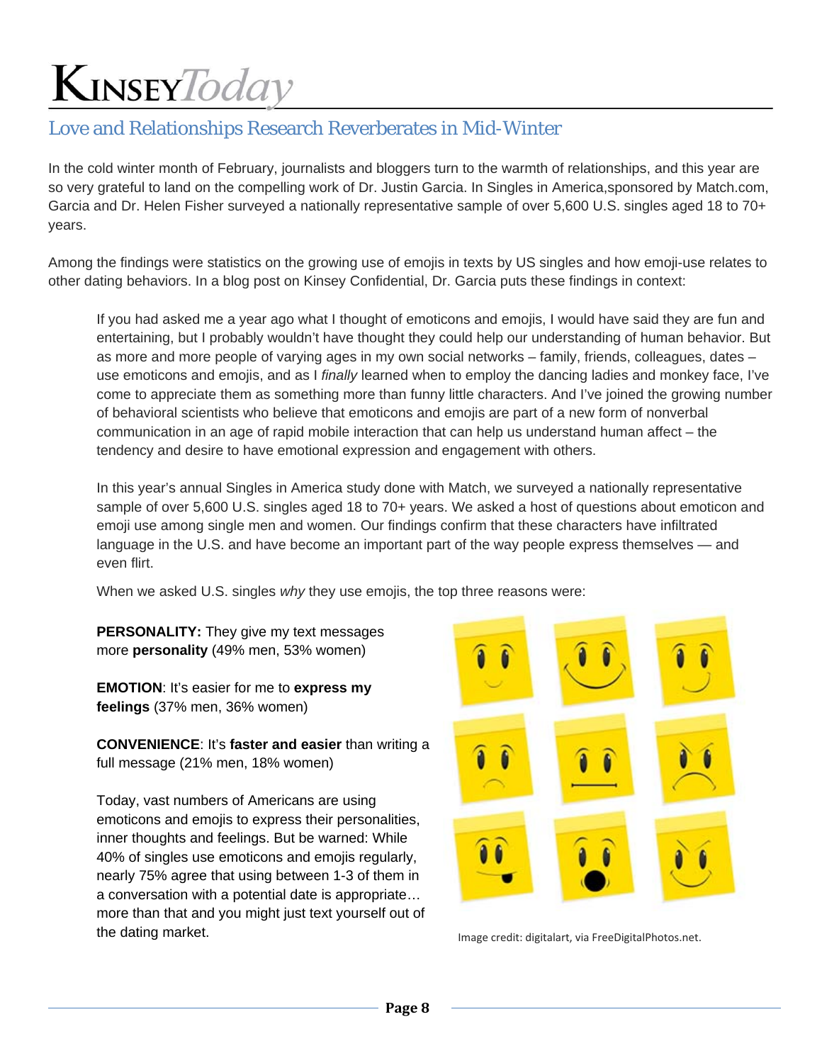### Love and Relationships Research Reverberates in Mid-Winter

In the cold winter month of February, journalists and bloggers turn to the warmth of relationships, and this year are so very grateful to land on the compelling work of Dr. Justin Garcia. In Singles in America,sponsored by Match.com, Garcia and Dr. Helen Fisher surveyed a nationally representative sample of over 5,600 U.S. singles aged 18 to 70+ years.

Among the findings were statistics on the growing use of emojis in texts by US singles and how emoji-use relates to other dating behaviors. In a blog post on Kinsey Confidential, Dr. Garcia puts these findings in context:

If you had asked me a year ago what I thought of emoticons and emojis, I would have said they are fun and entertaining, but I probably wouldn't have thought they could help our understanding of human behavior. But as more and more people of varying ages in my own social networks – family, friends, colleagues, dates – use emoticons and emojis, and as I *finally* learned when to employ the dancing ladies and monkey face, I've come to appreciate them as something more than funny little characters. And I've joined the growing number of behavioral scientists who believe that emoticons and emojis are part of a new form of nonverbal communication in an age of rapid mobile interaction that can help us understand human affect – the tendency and desire to have emotional expression and engagement with others.

In this year's annual Singles in America study done with Match, we surveyed a nationally representative sample of over 5,600 U.S. singles aged 18 to 70+ years. We asked a host of questions about emoticon and emoji use among single men and women. Our findings confirm that these characters have infiltrated language in the U.S. and have become an important part of the way people express themselves — and even flirt.

When we asked U.S. singles *why* they use emojis, the top three reasons were:

**PERSONALITY:** They give my text messages more **personality** (49% men, 53% women)

**EMOTION**: It's easier for me to **express my feelings** (37% men, 36% women)

**CONVENIENCE**: It's **faster and easier** than writing a full message (21% men, 18% women)

Today, vast numbers of Americans are using emoticons and emojis to express their personalities, inner thoughts and feelings. But be warned: While 40% of singles use emoticons and emojis regularly, nearly 75% agree that using between 1-3 of them in a conversation with a potential date is appropriate… more than that and you might just text yourself out of the dating market. Image credit: digitalart, via FreeDigitalPhotos.net.

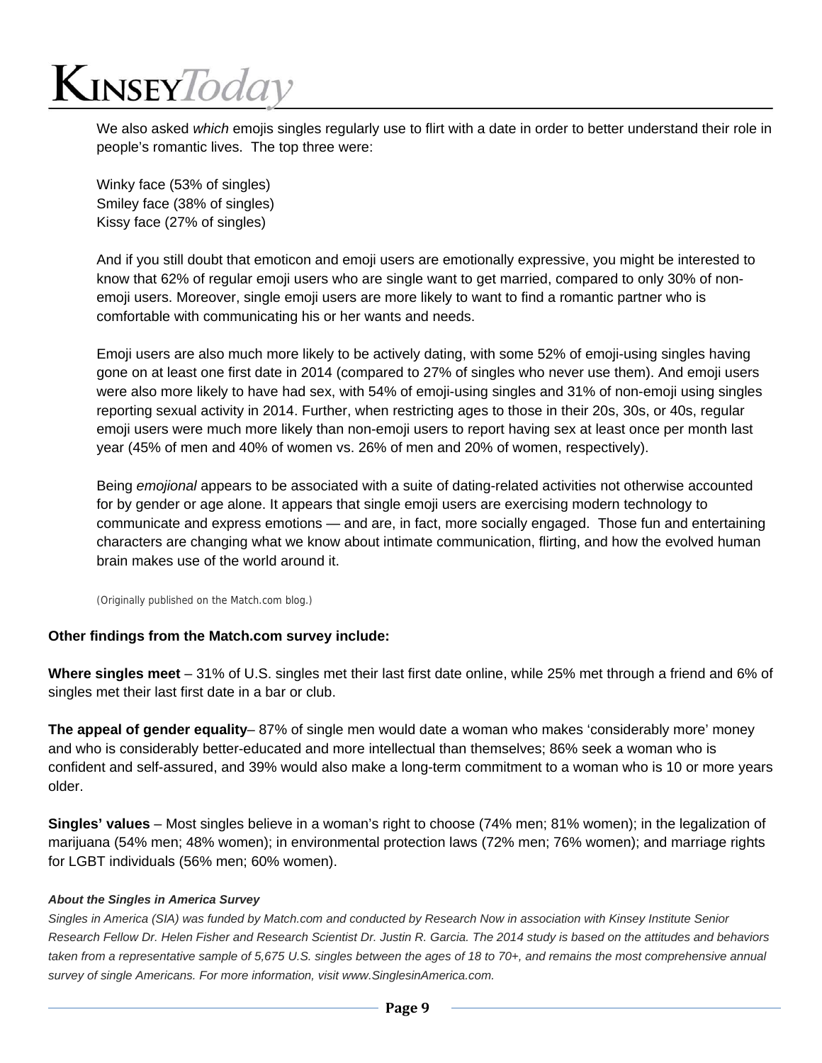## $K$ INSEY $\mathit{Today}$

We also asked *which* emojis singles regularly use to flirt with a date in order to better understand their role in people's romantic lives. The top three were:

Winky face (53% of singles) Smiley face (38% of singles) Kissy face (27% of singles)

And if you still doubt that emoticon and emoji users are emotionally expressive, you might be interested to know that 62% of regular emoji users who are single want to get married, compared to only 30% of nonemoji users. Moreover, single emoji users are more likely to want to find a romantic partner who is comfortable with communicating his or her wants and needs.

Emoji users are also much more likely to be actively dating, with some 52% of emoji-using singles having gone on at least one first date in 2014 (compared to 27% of singles who never use them). And emoji users were also more likely to have had sex, with 54% of emoji-using singles and 31% of non-emoji using singles reporting sexual activity in 2014. Further, when restricting ages to those in their 20s, 30s, or 40s, regular emoji users were much more likely than non-emoji users to report having sex at least once per month last year (45% of men and 40% of women vs. 26% of men and 20% of women, respectively).

Being *emojional* appears to be associated with a suite of dating-related activities not otherwise accounted for by gender or age alone. It appears that single emoji users are exercising modern technology to communicate and express emotions — and are, in fact, more socially engaged. Those fun and entertaining characters are changing what we know about intimate communication, flirting, and how the evolved human brain makes use of the world around it.

(Originally published on the Match.com blog.)

#### **Other findings from the Match.com survey include:**

**Where singles meet** – 31% of U.S. singles met their last first date online, while 25% met through a friend and 6% of singles met their last first date in a bar or club.

**The appeal of gender equality**– 87% of single men would date a woman who makes 'considerably more' money and who is considerably better-educated and more intellectual than themselves; 86% seek a woman who is confident and self-assured, and 39% would also make a long-term commitment to a woman who is 10 or more years older.

**Singles' values** – Most singles believe in a woman's right to choose (74% men; 81% women); in the legalization of marijuana (54% men; 48% women); in environmental protection laws (72% men; 76% women); and marriage rights for LGBT individuals (56% men; 60% women).

#### *About the Singles in America Survey*

*Singles in America (SIA) was funded by Match.com and conducted by Research Now in association with Kinsey Institute Senior Research Fellow Dr. Helen Fisher and Research Scientist Dr. Justin R. Garcia. The 2014 study is based on the attitudes and behaviors taken from a representative sample of 5,675 U.S. singles between the ages of 18 to 70+, and remains the most comprehensive annual survey of single Americans. For more information, visit www.SinglesinAmerica.com.*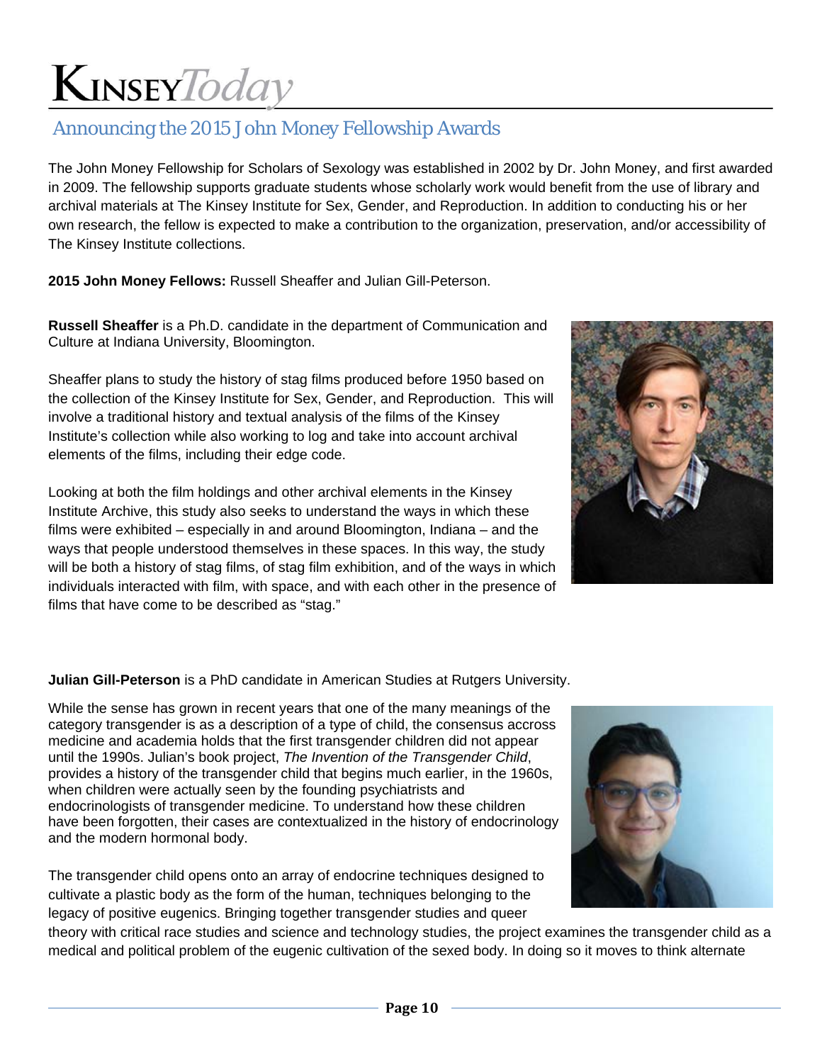### Announcing the 2015 John Money Fellowship Awards

The John Money Fellowship for Scholars of Sexology was established in 2002 by Dr. John Money, and first awarded in 2009. The fellowship supports graduate students whose scholarly work would benefit from the use of library and archival materials at The Kinsey Institute for Sex, Gender, and Reproduction. In addition to conducting his or her own research, the fellow is expected to make a contribution to the organization, preservation, and/or accessibility of The Kinsey Institute collections.

**2015 John Money Fellows:** Russell Sheaffer and Julian Gill-Peterson.

**Russell Sheaffer** is a Ph.D. candidate in the department of Communication and Culture at Indiana University, Bloomington.

Sheaffer plans to study the history of stag films produced before 1950 based on the collection of the Kinsey Institute for Sex, Gender, and Reproduction. This will involve a traditional history and textual analysis of the films of the Kinsey Institute's collection while also working to log and take into account archival elements of the films, including their edge code.

Looking at both the film holdings and other archival elements in the Kinsey Institute Archive, this study also seeks to understand the ways in which these films were exhibited – especially in and around Bloomington, Indiana – and the ways that people understood themselves in these spaces. In this way, the study will be both a history of stag films, of stag film exhibition, and of the ways in which individuals interacted with film, with space, and with each other in the presence of films that have come to be described as "stag."



#### **Julian Gill-Peterson** is a PhD candidate in American Studies at Rutgers University.

While the sense has grown in recent years that one of the many meanings of the category transgender is as a description of a type of child, the consensus accross medicine and academia holds that the first transgender children did not appear until the 1990s. Julian's book project, *The Invention of the Transgender Child*, provides a history of the transgender child that begins much earlier, in the 1960s, when children were actually seen by the founding psychiatrists and endocrinologists of transgender medicine. To understand how these children have been forgotten, their cases are contextualized in the history of endocrinology and the modern hormonal body.

The transgender child opens onto an array of endocrine techniques designed to cultivate a plastic body as the form of the human, techniques belonging to the legacy of positive eugenics. Bringing together transgender studies and queer



theory with critical race studies and science and technology studies, the project examines the transgender child as a medical and political problem of the eugenic cultivation of the sexed body. In doing so it moves to think alternate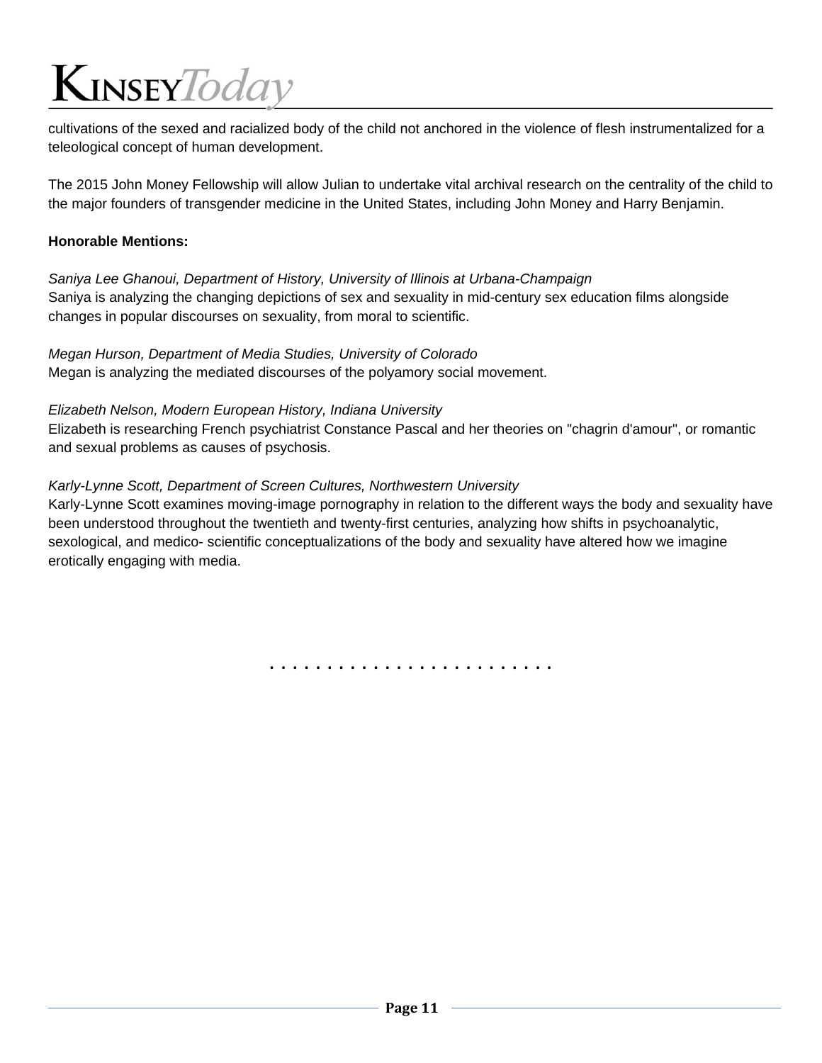cultivations of the sexed and racialized body of the child not anchored in the violence of flesh instrumentalized for a teleological concept of human development.

The 2015 John Money Fellowship will allow Julian to undertake vital archival research on the centrality of the child to the major founders of transgender medicine in the United States, including John Money and Harry Benjamin.

#### **Honorable Mentions:**

*Saniya Lee Ghanoui, Department of History, University of Illinois at Urbana-Champaign*  Saniya is analyzing the changing depictions of sex and sexuality in mid-century sex education films alongside changes in popular discourses on sexuality, from moral to scientific.

*Megan Hurson, Department of Media Studies, University of Colorado*  Megan is analyzing the mediated discourses of the polyamory social movement.

*Elizabeth Nelson, Modern European History, Indiana University*

Elizabeth is researching French psychiatrist Constance Pascal and her theories on "chagrin d'amour", or romantic and sexual problems as causes of psychosis.

#### *Karly-Lynne Scott, Department of Screen Cultures, Northwestern University*

Karly-Lynne Scott examines moving-image pornography in relation to the different ways the body and sexuality have been understood throughout the twentieth and twenty-first centuries, analyzing how shifts in psychoanalytic, sexological, and medico- scientific conceptualizations of the body and sexuality have altered how we imagine erotically engaging with media.

. . . . . . . . . . . . . . . . . . . . . . . . .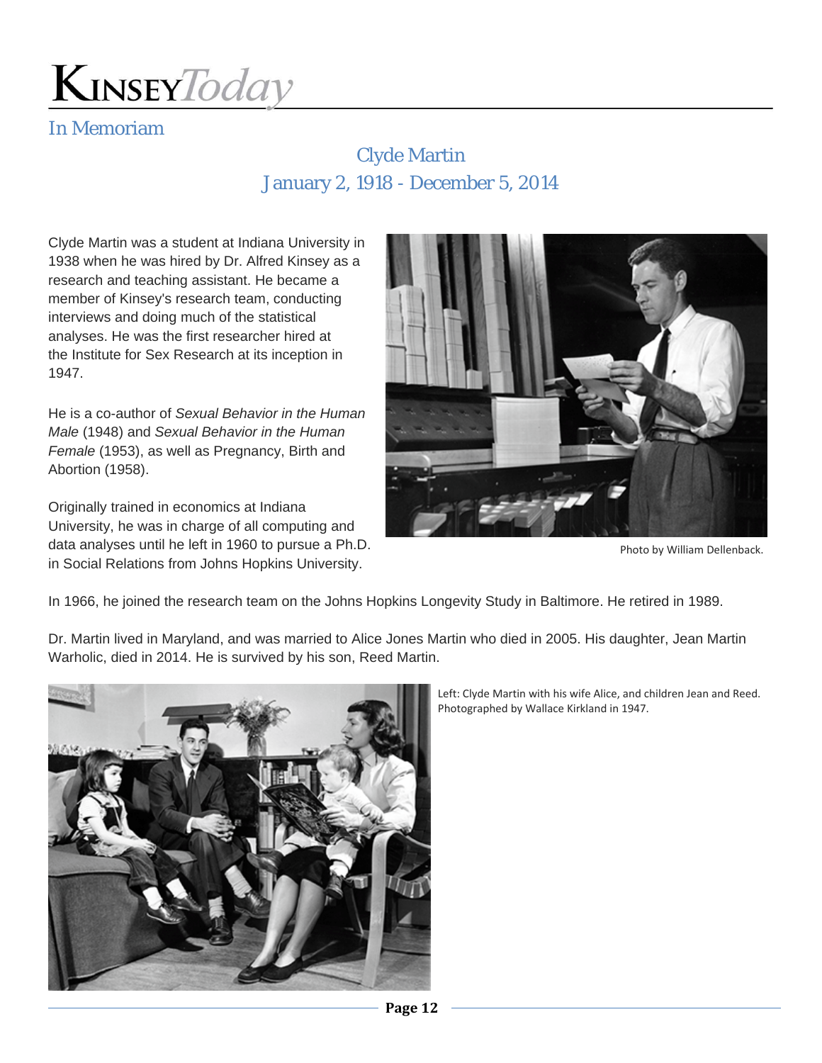

### In Memoriam

### Clyde Martin January 2, 1918 - December 5, 2014

Clyde Martin was a student at Indiana University in 1938 when he was hired by Dr. Alfred Kinsey as a research and teaching assistant. He became a member of Kinsey's research team, conducting interviews and doing much of the statistical analyses. He was the first researcher hired at the Institute for Sex Research at its inception in 1947.

He is a co-author of *Sexual Behavior in the Human Male* (1948) and *Sexual Behavior in the Human Female* (1953), as well as Pregnancy, Birth and Abortion (1958).

Originally trained in economics at Indiana University, he was in charge of all computing and data analyses until he left in 1960 to pursue a Ph.D. in Social Relations from Johns Hopkins University.



Photo by William Dellenback.

In 1966, he joined the research team on the Johns Hopkins Longevity Study in Baltimore. He retired in 1989.

Dr. Martin lived in Maryland, and was married to Alice Jones Martin who died in 2005. His daughter, Jean Martin Warholic, died in 2014. He is survived by his son, Reed Martin.



Left: Clyde Martin with his wife Alice, and children Jean and Reed. Photographed by Wallace Kirkland in 1947.